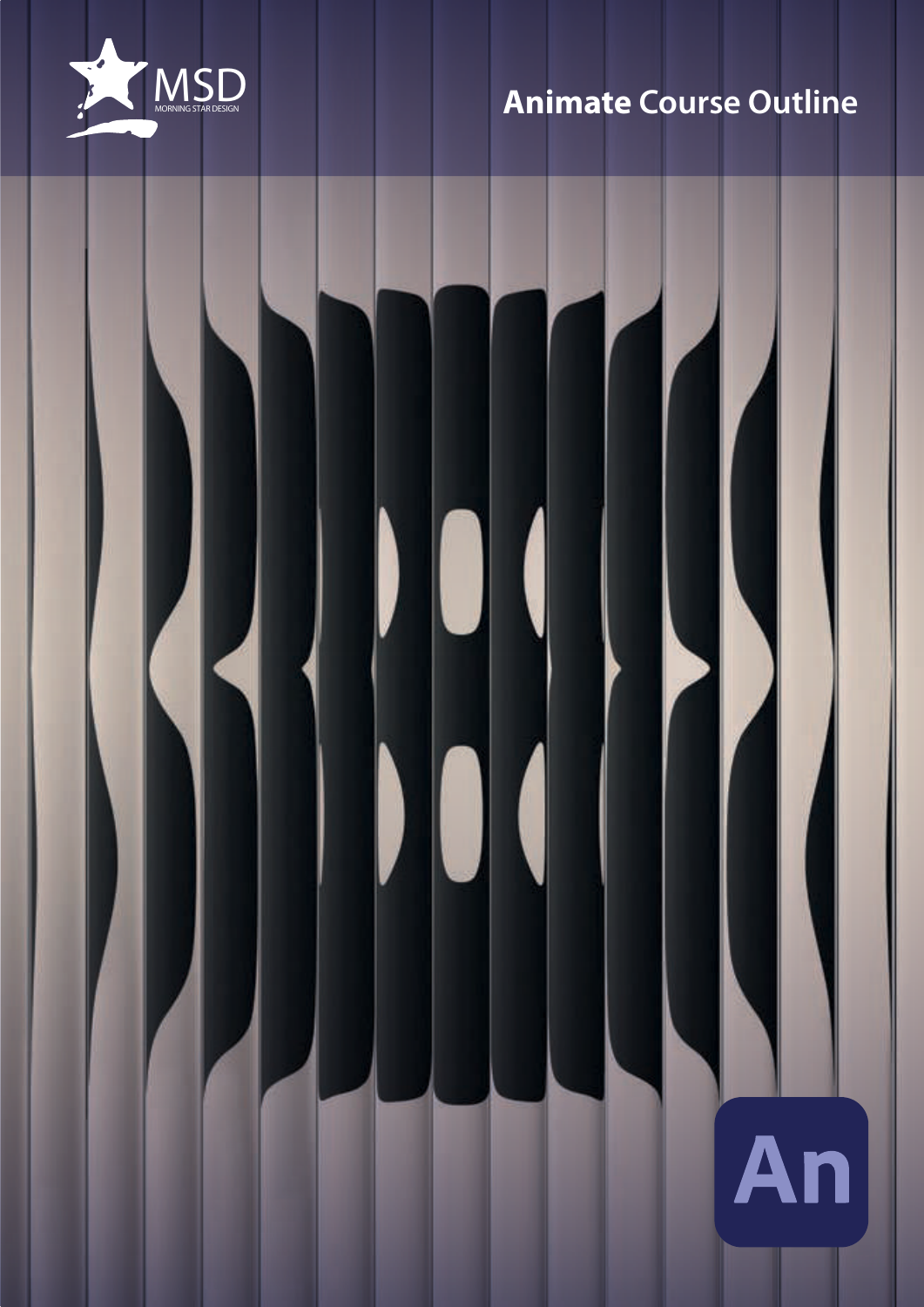

# **Animate Course Outline**

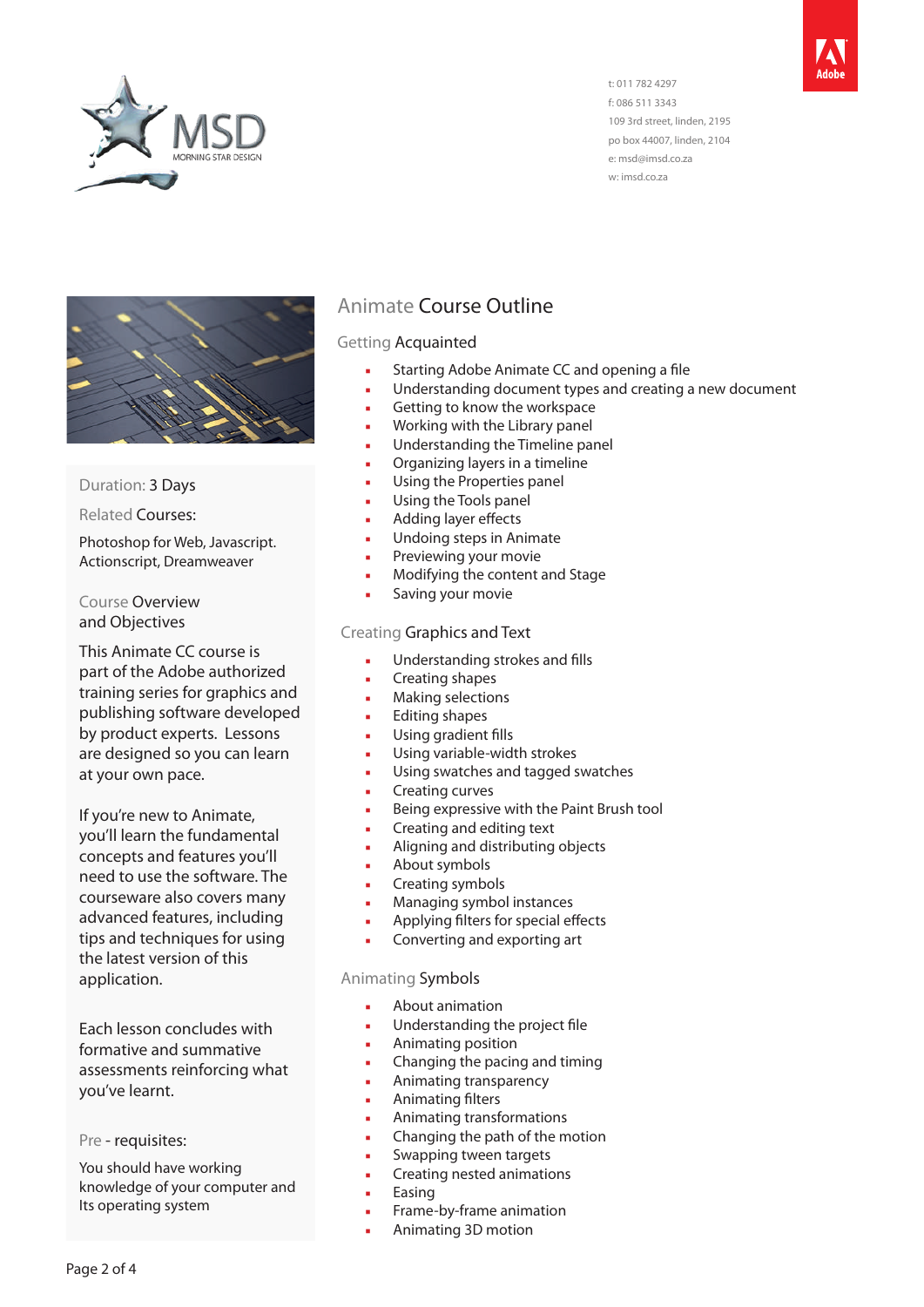

t: 011 782 4297 f: 086 511 3343 109 3rd street, linden, 2195 po box 44007, linden, 2104 e: msd@imsd.co.za w: imsd.co.za



#### Duration: 3 Days

Related Courses:

Photoshop for Web, Javascript. Actionscript, Dreamweaver

Course Overview and Objectives

This Animate CC course is part of the Adobe authorized training series for graphics and publishing software developed by product experts. Lessons are designed so you can learn at your own pace.

If you're new to Animate, you'll learn the fundamental concepts and features you'll need to use the software. The courseware also covers many advanced features, including tips and techniques for using the latest version of this application.

Each lesson concludes with formative and summative assessments reinforcing what you've learnt.

Pre - requisites:

You should have working knowledge of your computer and Its operating system

# Animate Course Outline

#### Getting Acquainted

- Starting Adobe Animate CC and opening a file
- Understanding document types and creating a new document
- Getting to know the workspace
- Working with the Library panel
- Understanding the Timeline panel
- Organizing layers in a timeline
- Using the Properties panel
- Using the Tools panel
- Adding layer effects
- Undoing steps in Animate
- Previewing your movie
- Modifving the content and Stage
- Saving your movie

#### Creating Graphics and Text

- Understanding strokes and fills
- Creating shapes
- **Making selections**
- Editing shapes
- Using gradient fills
- Using variable-width strokes
- Using swatches and tagged swatches
- Creating curves
- Being expressive with the Paint Brush tool
- Creating and editing text
- Aligning and distributing objects
- About symbols
- Creating symbols
- Managing symbol instances
- Applying filters for special effects
- Converting and exporting art

#### Animating Symbols

- About animation
- Understanding the project file
- Animating position
- Changing the pacing and timing
- Animating transparency
- Animating filters
- Animating transformations
- Changing the path of the motion
- Swapping tween targets
- Creating nested animations
- **Easing**
- Frame-by-frame animation
- Animating 3D motion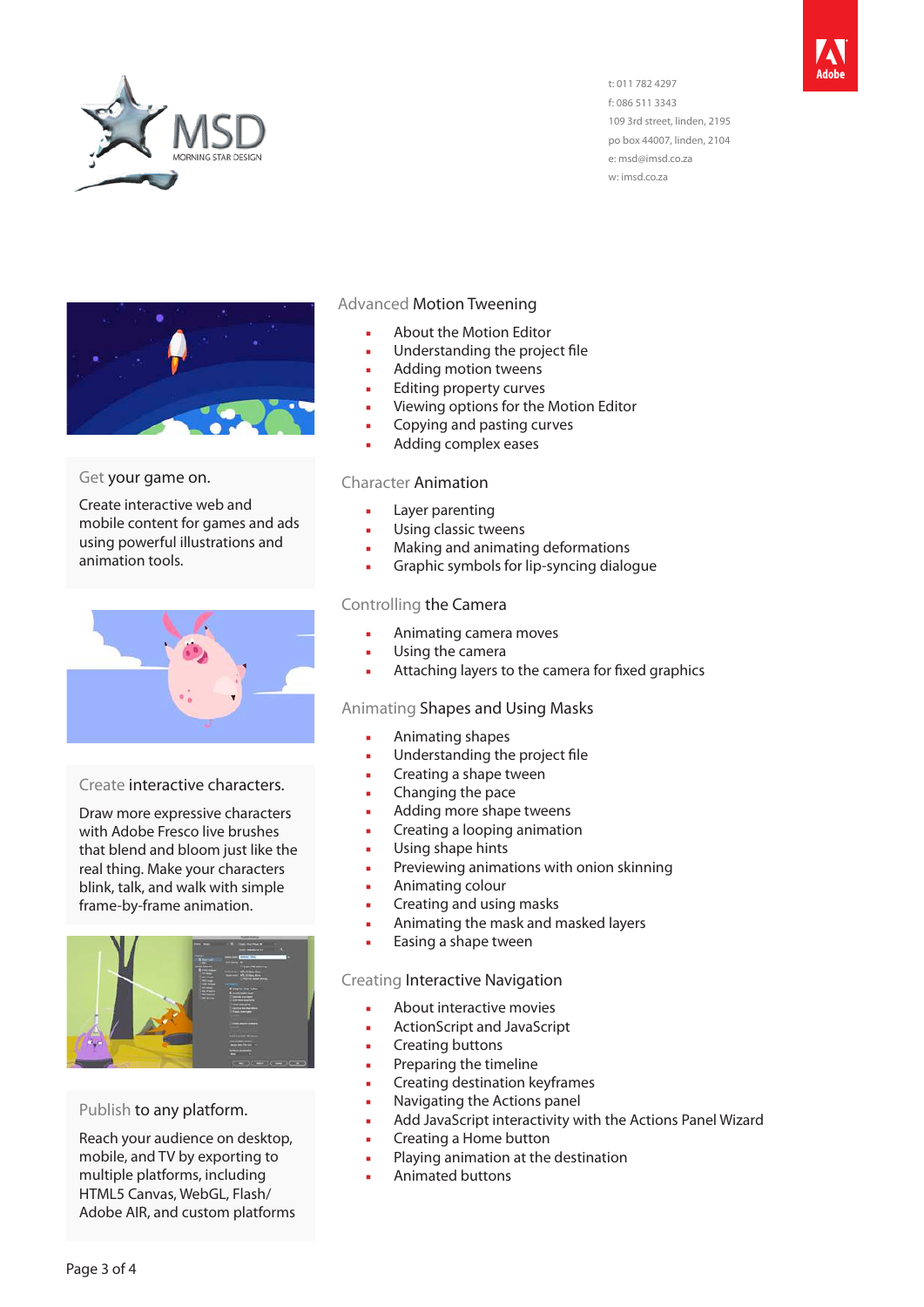

t: 011 782 4297 f: 086 511 3343 109 3rd street, linden, 2195 po box 44007, linden, 2104 e: msd@imsd.co.za w: imsd.co.za



#### Get your game on.

Create interactive web and mobile content for games and ads using powerful illustrations and animation tools.



#### Create interactive characters.

Draw more expressive characters with Adobe Fresco live brushes that blend and bloom just like the real thing. Make your characters blink, talk, and walk with simple frame-by-frame animation.



# Publish to any platform.

Reach your audience on desktop, mobile, and TV by exporting to multiple platforms, including HTML5 Canvas, WebGL, Flash/ Adobe AIR, and custom platforms

#### Advanced Motion Tweening

- About the Motion Editor
- Understanding the project file
- Adding motion tweens
- Editing property curves
- Viewing options for the Motion Editor
- Copying and pasting curves
- Adding complex eases

#### Character Animation

- Layer parenting
- Using classic tweens
- Making and animating deformations
- Graphic symbols for lip-syncing dialogue

#### Controlling the Camera

- Animating camera moves
- Using the camera
- Attaching layers to the camera for fixed graphics

#### Animating Shapes and Using Masks

- Animating shapes
- Understanding the project file
- Creating a shape tween
- Changing the pace
- Adding more shape tweens
- Creating a looping animation
- Using shape hints
- Previewing animations with onion skinning
- Animating colour
- Creating and using masks
- Animating the mask and masked layers
- Easing a shape tween

#### Creating Interactive Navigation

- About interactive movies
- ActionScript and JavaScript
- Creating buttons
- Preparing the timeline
- Creating destination keyframes
- Navigating the Actions panel
- Add JavaScript interactivity with the Actions Panel Wizard
- Creating a Home button
- Playing animation at the destination
- Animated buttons